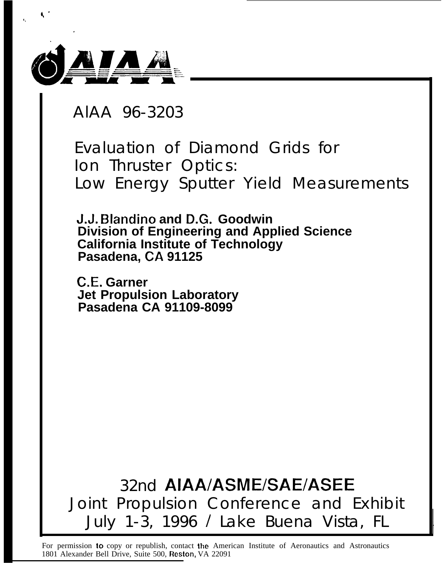

AlAA 96-3203

Evaluation of Diamond Grids for Ion Thruster Optics: Low Energy Sputter Yield Measurements

**J.J. E31andino and D.G. Goodwin Division of Engineering and Applied Science California Institute of Technology Pasadena, CA 91125**

**C.E. Garner Jet Propulsion Laboratory Pasadena CA 91109-8099**

32nd AIAA/ASME/SAE/ASEE Joint Propulsion Conference and Exhibit July 1-3, 1996 / Lake Buena Vista, FL

For permission to copy or republish, contact the American Institute of Aeronautics and Astronautics 1801 Alexander Bell Drive, Suite 500, Reston, VA 22091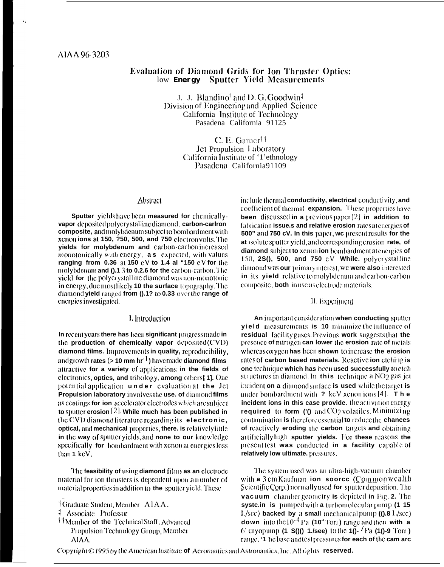# **Evaluation of Diamond Grids for Ion Thruster Optics:** low Energy Sputter Yield Measurements

J. J. Blandino<sup>†</sup> and D. G. Goodwin<sup>‡</sup> Division of Engineering and Applied Science California Institute of Technology Pasadena California 91125

> C. E. Garner<sup>††</sup> **Jet Propulsion Laboratory** California Institute of '1'ethnology Pasadena California91109

## Abstract

Sputter yields have been measured for chemicallyvapor deposited polycrystalline diamond, carbon-carlron composite, and molybdenum subject to bombardment with xenon ions at 150, 750, 500, and 750 electron volts. The yields for molybdenum and carbon-carbonincreased monotonically with energy, **as** expected, with values ranging from 0.36 at 150 cV to 1.4 at "150 cV for the molybdenum and ().1.3 to 0.2.6 for the carbon-carbon. The yield for the polycrystalline diamond was non-monotonic in energy, due mostlikely 10 the surface topography. The diamond yield ranged from ().1? to 0.33 over the range of energies investigated.

#### I, Introduction

In recent years there has been significant progress made in the production of chemically vapor deposited (CVD) diamond films. Improvements in quality, reproducibility, and growth rates ( $>10$  mm hr<sup>-1</sup>) have made diamond films attractive for a variety of applications in the fields of electronics, optics, and tribology, among others [1]. One potential application under evaluation at the Jet Propulsion laboratory involves the use, of diamond films as coatings for ion accelerator electrodes which are subject to sputter erosion  $[2]$ . While much has been published in the CVD diamond literature regarding its electronic, optical, and mechanical properties, there, is relatively little in the way of sputter yields, and none to our knowledge specifically for bombardment with xenon at energies less than 1 keV.

The feasibility of using diamond films as an electrode material for ion thrusters is dependent upon a number of material properties in addition to the sputter yield. These

<sup>11</sup> Member of the Technical Staff, Advanced Propulsion Technology Group, Member AIAA.

include thermal conductivity, electrical conductivity, and coefficient of thermal expansion. These properties have been discussed in a previous paper $[2]$  in addition to fabrication issue.s and relative erosion rates at energies of 500" and 750 cV. In this paper, we present results for the at solute sputter yield, and corresponding erosion rate, of diamond subject to xenon ion bombardment at energies of 150, 2S(), 500, and 750 eV. While. polycrystalline diamond was our primary interest, we were also interested in its yield relative to molybdenum and carbon-carbon composite, **both** in use as electrode materials.

## II, Experiment

An important consideration when conducting sputter yield measurements is 10 minimize the influence of residual facility gases. Previous work suggests that the presence of nitrogen can lower the erosion rate of metals whereas oxygen has been shown to increase the erosion rates of carbon based materials. Reactive ion etching is onc technique which has been used successfully to etch structures in diamond. In this technique a NO2 gas jet incident on a diamond surface is used while the target is under bombardment with  $\cdot$  keV xenon ions [4]. The incident ions in this case provide. the activation energy required to form  $(0)$  and  $CO<sub>2</sub>$  volatiles, Minimizing contamination is therefore essential to reduce the chances of reactively eroding the carbon targets and obtaining artificially high sputter yields. For these reasons the present test was conducted in a facility capable of relatively low ultimate. pressures.

The system used was an ultra-high-vacuum chamber with a 3 cm Kaufman ion soorce (Commonwealth Scientific Corp.) normally used for sputter deposition. The vacuum chamber geometry is depicted in Fig. 2. The systc.in is pumped with a turbomolecular pump (1 15  $1/\text{sec}$ ) backed by a small mechanical pump ( $(0.81/\text{sec})$ ) down into the  $10^{-4}$  Pa (10<sup> $\textdegree$ </sup> Tori) range and then with a 6" cryopump (1 S()() 1./see) to the  $10^{-7}$  Pa (10-9 Torr) range. '1 he base and test pressures for each of the cam arc

Copyright ©1995 by the American Institute of Aeronautics and Astronautics, Inc. All rights reserved.

<sup>&</sup>lt;sup>1</sup>Graduate Student, Member A1AA.

<sup>&</sup>lt;sup>1</sup> Associate Professor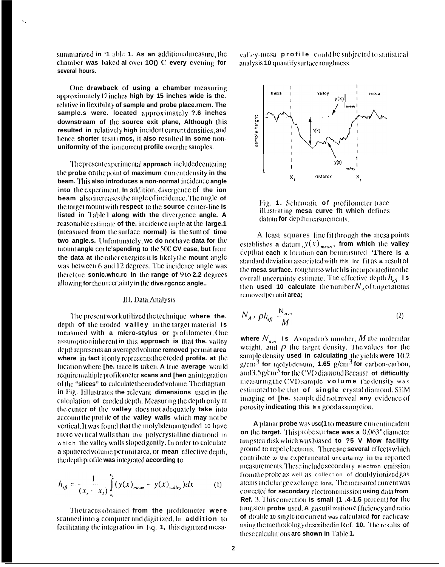summarized in '1 able 1. As an additional measure, the chamber was baked al over 10() C every evening for several hours.

One drawback of using a chamber measuring approximately12 inches high by 15 inches wide is the. relative in flexibility of sample and probe place rncm. The sample.s were. located approximately ?.6 inches downstream of the source exit plane, Although this resulted in relatively high incident current densities, and hence shorter testti mcs, it also resulted in some nonuniformity of the ioncurrent profile over the samples.

The present experimental approach included centering the probe on the point of maximum current density in the beam. This also introduces a non-normal incidence angle into the experiment. In addition, divergence of the ion **beam** also increases the angle of incidence. The angle of the target mount with respect to the source center-line is listed in Table1 along with the divergence angle. A reasonable estimate of the, incidence angle at the large.1 (measured from the surface normal) is the sum of time two angle.s. Unfortunately, we do not have data for the mount angle corle's pending to the 500 CV case, but from the data at the other energies it is likely the mount angle was between 6 and 12 degrees. The incidence angle was therefore sonic.whe.re in the range of 9 to 2.2 degrees allowing for the uncertainty in the dive.rgence angle..

#### III, Data Analysis

The present work utilized the technique where the. depth of the eroded valley in the target material is measured with a micro-stylus or profilometer. One assumption inherent in this approach is that the valley depth represents an averaged volume removed per unit area where in fact it only represents the croded profile. at the location where [he. trace is taken. A true average would require multiple profilometer scans and [hen anintegration] of the "slices" to calculate the eroded volume. The diagram in Fig. 1illustrates the relevant dimensions used in the calculation of croded depth. Measuring the depth only at the center of the valley does not adequately take into account the profile of the valley walls which may not be vertical. It was found that the molybdenum tended 10 have more vertical walls than the polycrystalline diamond in which the valley walls sloped gently. In order to calculate a sputtered volume per unit area, or mean effective depth, the depth profile was integrated according to

$$
h_{e,j} = \frac{1}{(x, -x_i)} \int_{x_i}^{x_i} (y(x)_{mean} - y(x)_{value}) dx
$$
 (1)

The traces obtained from the profilometer were scanned into a computer and digit ized. In addition to facilitating the integration in Eq. 1, this digitized mesavalley-mesa profile could be subjected to statistical analysis 10 quantify surface roughness.



Fig. 1. Schematic of profilometer trace illustrating mesa curve fit which defines datum for depth measurements.

A least squares line fit through the mesa points establishes a datum,  $y(x)_{mean}$ , from which the valley depth at each  $x$  location can be measured. '1'here is a standard deviation associated with this line fit as a result of the mesa surface. roughness which is incorporated into the overall uncertainty estimate. The effective depth  $h_{\epsilon g}$  is then used 10 calculate the number  $N_A$  of target atoms removed per unit area;

$$
N_A, \rho h_{\text{eff}} \frac{N_{\text{avo}}}{M} \tag{2}
$$

where  $N_{\alpha\nu\rho}$  is Avogadro's number, M the molecular weight, and  $\rho$  the target density. The values for the sample density used in calculating the yields were 10.2  $\gamma$ /cm<sup>3</sup> for molybdenum, 1.65  $\gamma$ /cm<sup>3</sup> for carbon-carbon, and  $3.5$  g/cm<sup>-5</sup> for the CVD diamond Because of difficultly measuring the CVD sample volume the density was estimated to be that of single crystal diamond. SEM imaging of [he. sample did not reveal any evidence of porosity indicating this is a good assumption.

A planar probe was usc(1 to measure current incident on the target. This probe surface was a 0.063" diameter tungsten disk which was biased to ?5 V Mow facility ground to repel electrons. There are **several** effects which contribute to the experimental uncertainty in the reported measurements. These include secondary electron emission from the probe as well as collection of doubly ionized gas atoms and charge exchange ions. The measured current was corrected for secondary electron emission using data from Ref. 3. This correction is small (1 .4-1.5 percent) for the tungsten probe used. A gas utilization officiency and ratio of double to single ion current was calculated for each case using the methodology described in Ref. 10. The results of these calculations are shown in Table 1.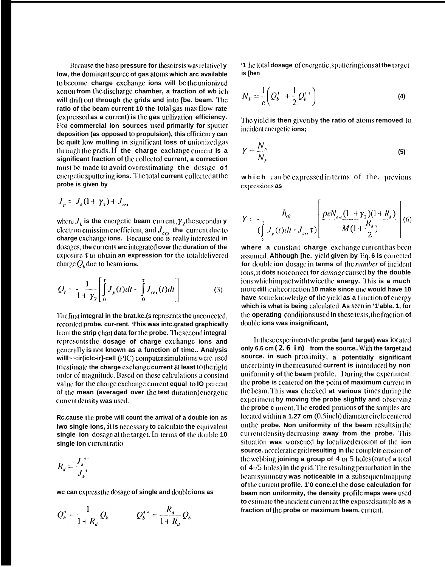Because the base pressure for these tests was relatively low, the dominant source of gas atoms which arc available to become charge exchange ions will be the unionized xenon from the discharge chamber, a fraction of wb ich will drift out through the grids and into Ibe. beam. The ratio of the beam current 10 the total gas mas flow rate (expressed as a current) is the gas utilization efficiency. For commercial ion sources used primarily for sputter deposition (as opposed to propulsion), this efficiency can be quilt low mulling in significant loss of unionized gas through the grids. If the charge exchange current is a significant fraction of the collected current, a correction must be made to avoid overestimating the dosage of energetic sputtering ions. The total current collected at the probe is given by

$$
J_p = J_b(1+\gamma_2) + J_{\alpha\alpha}
$$

where  $J_{\mu}$  is the energetic beam current,  $\gamma_2$  the secondar y electron emission coefficient, and  $J_{cex}$  the current due to charge exchange ions. Because one is really interested in dosages, the currents are integrated over the duration of the exposure  $\tau$  to obtain an expression for the total delivered charge  $Q_{\rm k}$  due to beam ions.

$$
Q_b = \frac{1}{1 + \gamma_2} \left[ \int_0^{\tau} J_p(t) dt - \int_0^{\tau} J_{ce}(t) dt \right]
$$
 (3)

The first integral in the brat.kc.(s represents the uncorrected, recorded probe. cur-rent. 'I'his was intc.grated graphically from the strip chart data for the probe. The second integral represents the dosage of charge exchange ions and generally is not known as a function of time.. Analysis will---:ir(iclc-ir]-cell (PIC) computer simulations were used to estimate the charge exchange current at least to the right order of magnitude. Based on these calculations a constant value for the charge exchange current equal to IO percent of the mean (averaged over the test duration) energetic current density was used.

Rc.cause the probe will count the arrival of a double ion as Iwo single ions, it is necessary to calculate the equivalent single ion dosage at the target. In terms of the double 10 single ion current ratio

$$
R_d = \frac{J_b^{+}}{J_b^{+}}
$$

we can express the dosage of single and double ions as

$$
Q_b^+ = \frac{1}{1+R_d} Q_b \qquad Q_b^{++} = \frac{R_d}{1+R_d} Q_b
$$

'1 he total dosage of energetic, sputtering ions at the target is [hen

$$
N_E = \frac{1}{e} \left( Q_b^+ + \frac{1}{2} Q_b^{++} \right) \tag{4}
$$

The yield is then given by the ratio of atoms removed to incident energetic ions;

$$
Y = \frac{N_A}{N_F} \tag{5}
$$

which can be expressed in terms of the. previous expressions as

$$
Y = -\frac{h_{ef}}{(\int_{0}^{1} J_{p}(t)dt - J_{ex}\tau)} \left[ \frac{\rho e N_{ave}(1 + \gamma_{2})(1 + R_{a})}{M(1 + \frac{R_{a}}{2})} \right] (6)
$$

where a constant charge exchange current has been assumed. Although [he. yield given by Eq. 6 is corrected for double ion dosage in terms of the *number* of incident ions, it dots not correct for *damage* caused by the double ions which impact with twice the energy. This is a much more dill icult correction 10 make since one would have 10 have some knowledge of the yield as a function of energy which is what is being calculated. As seen in '1'able. 1, for the operating conditions used in these tests, the fraction of double ions was insignificant,

In these experiments the probe (and target) was located only 6.6 cm (2.6 in) from the source. With the target and source. in such proximity, a potentially significant uncertainty in the measured current is introduced by nonuniformity of the beam profile. During the experiment, the probe is centered on the point of maximum current in the beam. This was checked at various times during the experiment by moving the probe slightly and observing the probe c urrent. The eroded portions of the samples arc located within  $a 1.27$  cm  $(0.5$  inch) diameter circle centered on the probe. Non uniformity of the beam results in the current density decreasing away from the probe. This situation was worsened by localized erosion of the ion source, accelerator grid resulting in the complete erosion of the webbing joining a group of  $4$  or  $5$  holes (out of a total of  $4\frac{1}{5}$  holes) in the grid. The resulting perturbation in the beam symmetry was noticeable in a subsequent mapping of the current profile. 1'0 cone.cl the dose calculation for beam non uniformity, the density profile maps were used to estimate the incident current at the exposed sample as a fraction of the probe or maximum beam, current.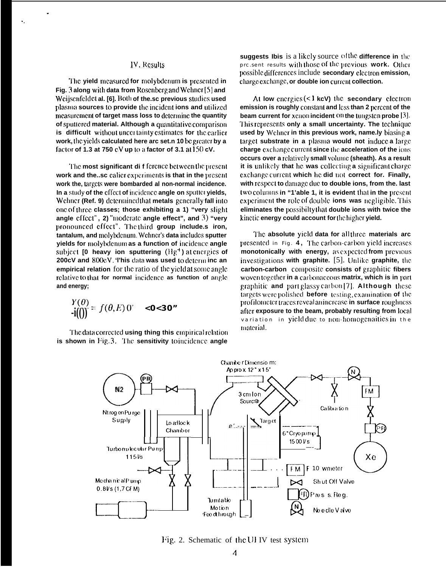### IV, Results

The yield measured for molybdenum is presented in Fig. 3 along with data from Rosenberg and Wehner [5] and Weijsenfeldet al. [6]. Both of the.sc previous studies used plasma sources to provide the incident ions and utilized measurement of target mass loss to determine the quantity of sputtered material. Although a quantitative comparison is difficult without uncertainty estimates for the earlier work, the yields calculated here arc set.n 10 be greater by a factor of 1.3 at 750 cV up to a factor of 3.1 at 150 cV.

The most significant difference between the present work and the sc calier experiments is that in the present work the, targets were bombarded al non-normal incidence. In a study of the effect of incidence angle on sputter yields, Wehner (Ref. 9) determined that metals generally fall into one of three classes; those exhibiting a 1) "very slight angle cffect", 2) "moderate angle effect", and 3) "very pronounced effect". The third group include.s iron, tantalum, and molybdenum. Wehner's data includes sputter vields for molybdenum as a function of incidence angle subject  $[0]$  heavy ion sputtering  $(Hg^+)$  at energies of 200cV and 800cV. This data was used to determine an empirical relation for the ratio of the yield at some angle relative to that for normal incidence as function of angle and energy:

$$
\frac{Y(\theta)}{\mathbf{1}(\theta)} = f(\theta, E) 0^{\circ} < 0 < 30^{\circ}
$$

The data corrected using thing this empirical relation is shown in Fig.3. The sensitivity to incidence angle

suggests Ibis is a likely source of the difference in the professor results with those of the previous work. Other possible differences include secondary electron emission, charge exchange, or double ion current collection.

At low energies  $( $1 \text{ keV}$ )$  the secondary electron emission is roughly constant and less than 2 percent of the beam current for xchon incident On the tungsten probe [3]. This represents only a small uncertainty. The technique used by Wehner in this previous work, name.ly biasing a target substrate in a plasma would not induce a large charge exchange current since the acceleration of the ions occurs over a relatively small volume (sheath). As a result it is unlikely that he was collecting a significant charge exchange current which he did not correct for. Finally, with respect to damage due to double ions, from the. last two columns in "1'able 1, it is evident that in the present experiment the role of double ions was negligible. This eliminates the possibilty that double ions with twice the kinetic energy could account for the higher yield.

The absolute yield data for allthree materials arc presented in Fig. 4, The carbon-carbon yield increases monotonically with energy, as expected from previous investigations with graphite. [5]. Unlike graphite, the carbon-carbon composite consists of graphitic fibers woven together in a carbonaceous matrix, which is in part graphitic and part glassy carbon [7]. Although these targets were polished before testing, examination of the profilometer traces reveal an increase in surface roughness after exposure to the beam, probably resulting from local variation in yield due to non-homogenaities in the material.



Fig. 2. Schematic of the UI IV test system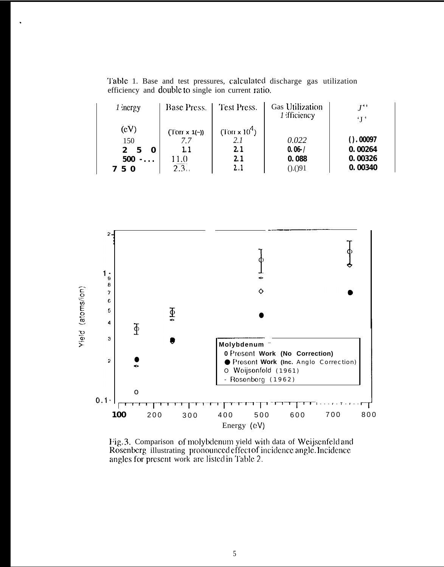Table 1. Base and test pressures, calculated discharge gas utilization efficiency and double to single ion current ratio.

| $1$ inergy                      | <b>Base Press.</b> | Test Press.      | <b>Gas Utilization</b><br>1 fficiency | $I^{++}$<br>$\mathbf{f}$ |
|---------------------------------|--------------------|------------------|---------------------------------------|--------------------------|
| (cV)                            | $(Torr x 1(-))$    | (Torr x $10^4$ ) |                                       |                          |
| 150                             |                    |                  | 0.022                                 | $()$ . 00097             |
| $\mathcal{P}$<br>5              |                    | 2.1              | $0.06 - /$                            | 0.00264                  |
| 500<br>$\overline{\phantom{a}}$ |                    | 2.1              | 0.088                                 | 0.00326                  |
| h                               | 2.3                |                  | (.0.091)                              | 0.00340                  |



Fig. 3. Comparison of molybdenum yield with data of Weijsenfeld and Rosenberg illustrating pronounced effect of incidence angle. Incidence angles for present work are listed in Table 2.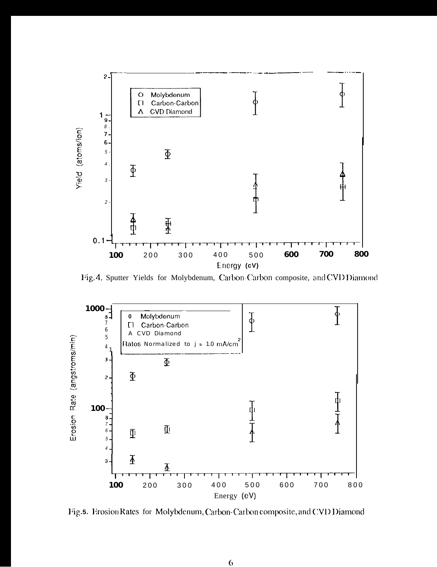

Fig. 4. Sputter Yields for Molybdenum, Carbon-Carbon composite, and CVD Diamond



Fig.5. Erosion Rates for Molybdenum, Carbon-Carbon composite, and CVD Diamond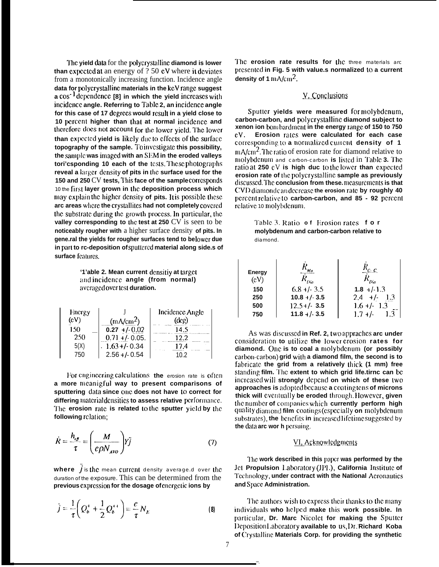The yield data for the polycrystalline diamond is lower **than expected at an energy of**  $?50$  **eV where it deviates** from a monotonically increasing function. Incidence angle **data for polycrystdlinc materials in the** kcV **mngc suggest a Cos- <sup>1</sup> dcpcndcncc [8] in which the yield incrcascs wilt] incidence angle. Referring to Table 2, an incidence angle** for this case of 17 degrees would result in a vield close to **10 pcrccnt higher than that at normal incidcncc and therefore** does not account for the lower yield. The lower **than expected yield is likely due to effects of the surface topography of the sample.** To investigate this possibility, the sample was imaged with an SEM in the eroded valleys **tori'csponding 10 each of the lests. These photographs** reveal a larger density of pits in the surface used for the **150 and 250 CV tests, This face of the sample corresponds** 10 the **firsl layer grown in the deposition process which maycxplain thchighcrdcnsity of pits. II ispossiblcthcsc** arc areas where the crystallites had not completely covered **the substrate during the growth process. In particular, the** valley corresponding to the test at 250 CV is seen to be **noticeably rougher with** a higher surface density **of pits. In** gene.ral the yields for rougher surfaces tend to belower due in part to rc-deposition of sputtered material along side.s of **surface fcalurcs.**

> '1'able 2. Mean current densitiy at target andincidence angle (from normal) **avc,r:igcd over tc.s( duration.**

| Encrgy |                       | Incidence Angle |
|--------|-----------------------|-----------------|
| (cV)   | (mA/cm <sup>2</sup> ) | $(\deg)$        |
| 150    | $0.27 + (-0.02)$      | 14.5            |
| 250    | $0.71 + (-0.05.$      | 12.2            |
| 5 (X   | $1.63 + (-0.34)$      | 17.4            |
|        | $2.56 + 0.54$         |                 |

For engincering calculations the erosion rate is ofter **a more mcanigful way to present comparisons of** sputtering data since one does not have to correct for **differing material densities to assess relative performance. I'hc erosion rate is related (o the sputter yield by [he following rclalion;**

$$
\dot{R} = \frac{h_{\text{eff}}}{\tau} = \left(\frac{M}{e\rho N_{\text{AVO}}}\right)Y\bar{j} \tag{7}
$$

where  $\vec{j}$  is the mean current density average.d over the duration of the exposure. This can be determined from the **previous expression for the dosage of energetic ions by** 

$$
\bar{j} = \frac{1}{\tau} \left( Q_b^+ + \frac{1}{2} Q_b^{++} \right) = \frac{e}{\tau} N_E \tag{8}
$$

The **erosion rate results for the** three materials arc **prcscnlcd in Fig. 5 with value.s normalized 10 a current density of 1**  $\text{mA/cm}^2$ .

# **Y.** Conclusions

Sputter yields were measured for molybdenum, **carbon-carbon, and polycrystallinc diamond subject to xenon ion bombardment in the energy range of 150 to 750 Cv . Erosion rates were calculated for each case corresponding to a normalized current density of 1 n**A/cm<sup>2</sup>. The ratio of erosion rate for diamond relative to molybdcnum and carbon-carbon **is** listed in Table 3. The **ratio** at **250 cV** is high duc to the lower than expected **erosion rate of lhc polycrystallinc sample as previously** discussed. The **conclusion from these** measurements is that **CWIJ diamon(i ciin decrc.asc the erosion rate by roughly 40 pcrccnt rctativc to carbon-carbon, and 85 - 92 pcrccnt** relative 10 molybdenum.

> **I**able 3. Ratio of Erosion rates for **molybdenum and carbon-carbon relative to** diamond.

| <b>Energy</b><br>(cV) |                 | $r_c$ c             |
|-----------------------|-----------------|---------------------|
| 150                   | $6.8 + 1.3.5$   | $1.8 + (-1.3)$      |
| 250                   | $10.8 + (-3.5)$ | $+/-$<br>1.3<br>2.4 |
| 500                   | $12.5 + / 3.5$  | $1.6 +/- 1.3$       |
| 750                   | $11.8 +/- 3.5$  | $1.7 +/-$           |

As was discussed in Ref. 2, two appraches arc under consideration to utilize the lower erosion rates for diamond. One is to coal a molybdenum (or possibly carbon-carbon) grid with a diamond film, the second is to fabricate the grid from a relatively thick (1 mm) free **stariding film. "1'hc extent to which grid life.tirnc can bc incrcascd will strongly dcpcr)d on which of these I.WO** approaches is adopted because a coating tens of microns thick will eventually be eroded through. However, given the number of companies which currently perform high **quality** diamond film coatings (especially on molybdenum substrates), the benefits in increased lifetime suggested by **the data arc wor h persuing.** 

# VI, Acknowledgments

The work described in this paper was performed by the **Jet Propulsion** Laboratory (JPL), California Institute of Technology, under contract with the National Acronautics **and Space Administration.**

**I'lic a~ihors wis}i 10 cxprc.ss tlicir ttianks (o tlic m:iny** individuals who helped make this work possible. In particular, Dr. Marc Nicolet for making the Sputter **l)cposition I,abofiitory available to us, I)r. -Richard Koba of Gyst:illinc Materials Corp. for providing the synthetic**

—.